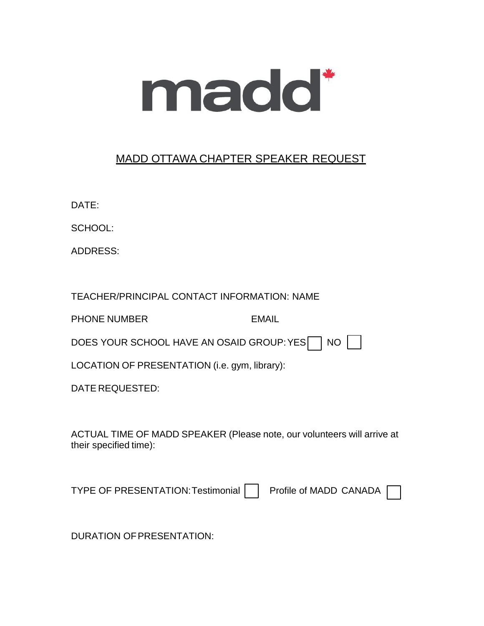

## MADD OTTAWA CHAPTER SPEAKER REQUEST

DATE:

SCHOOL:

ADDRESS:

TEACHER/PRINCIPAL CONTACT INFORMATION: NAME

PHONE NUMBER EMAIL

DOES YOUR SCHOOL HAVE AN OSAID GROUP: YES NO

LOCATION OF PRESENTATION (i.e. gym, library):

DATE REQUESTED:

ACTUAL TIME OF MADD SPEAKER (Please note, our volunteers will arrive at their specified time):

TYPE OF PRESENTATION: Testimonial Profile of MADD CANADA

DURATION OFPRESENTATION: